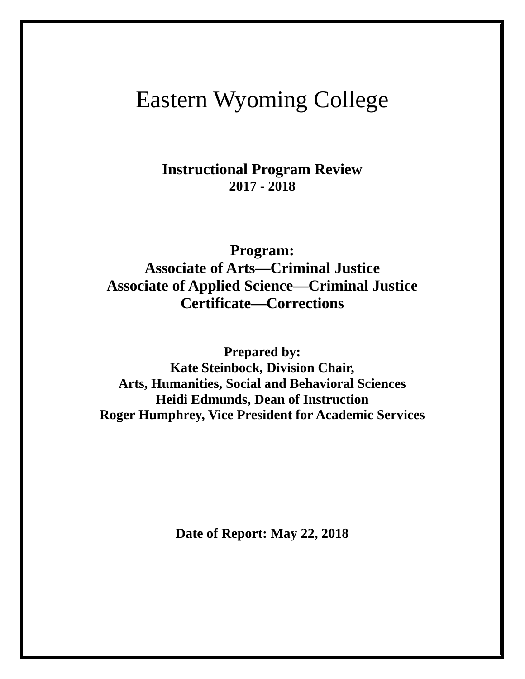# Eastern Wyoming College

**Instructional Program Review 2017 - 2018**

**Program: Associate of Arts—Criminal Justice Associate of Applied Science—Criminal Justice Certificate—Corrections**

**Prepared by: Kate Steinbock, Division Chair, Arts, Humanities, Social and Behavioral Sciences Heidi Edmunds, Dean of Instruction Roger Humphrey, Vice President for Academic Services**

**Date of Report: May 22, 2018**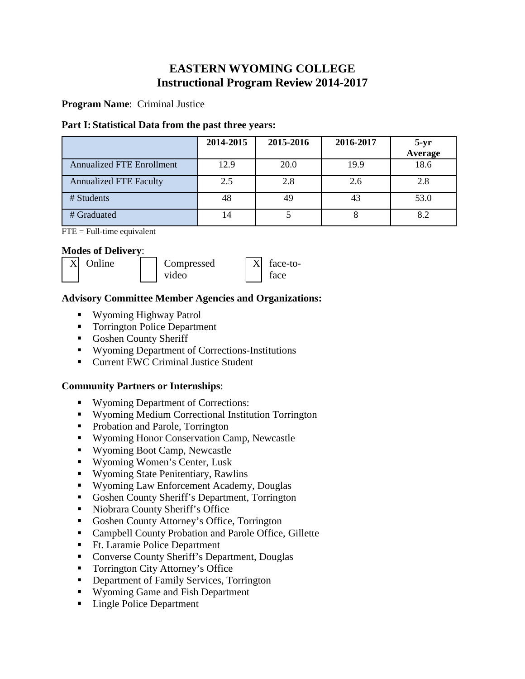# **EASTERN WYOMING COLLEGE Instructional Program Review 2014-2017**

**Program Name**: Criminal Justice

#### **Part I: Statistical Data from the past three years:**

|                                  | 2014-2015 | 2015-2016 | 2016-2017 | $5-yr$<br>Average |
|----------------------------------|-----------|-----------|-----------|-------------------|
| <b>Annualized FTE Enrollment</b> | 12.9      | 20.0      | 19.9      | 18.6              |
| <b>Annualized FTE Faculty</b>    | 2.5       | 2.8       | 2.6       | 2.8               |
| # Students                       | 48        | 49        | 43        | 53.0              |
| # Graduated                      | 14        |           |           | 8.2               |

 $\overline{FTE}$  = Full-time equivalent

#### **Modes of Delivery**:



#### **Advisory Committee Member Agencies and Organizations:**

- Wyoming Highway Patrol
- Torrington Police Department
- Goshen County Sheriff
- Wyoming Department of Corrections-Institutions
- Current EWC Criminal Justice Student

# **Community Partners or Internships**:

- Wyoming Department of Corrections:
- Wyoming Medium Correctional Institution Torrington
- Probation and Parole, Torrington
- Wyoming Honor Conservation Camp, Newcastle
- Wyoming Boot Camp, Newcastle
- Wyoming Women's Center, Lusk
- Wyoming State Penitentiary, Rawlins
- Wyoming Law Enforcement Academy, Douglas
- Goshen County Sheriff's Department, Torrington
- Niobrara County Sheriff's Office
- Goshen County Attorney's Office, Torrington
- Campbell County Probation and Parole Office, Gillette
- Ft. Laramie Police Department
- Converse County Sheriff's Department, Douglas
- Torrington City Attorney's Office
- **Department of Family Services, Torrington**
- Wyoming Game and Fish Department
- Lingle Police Department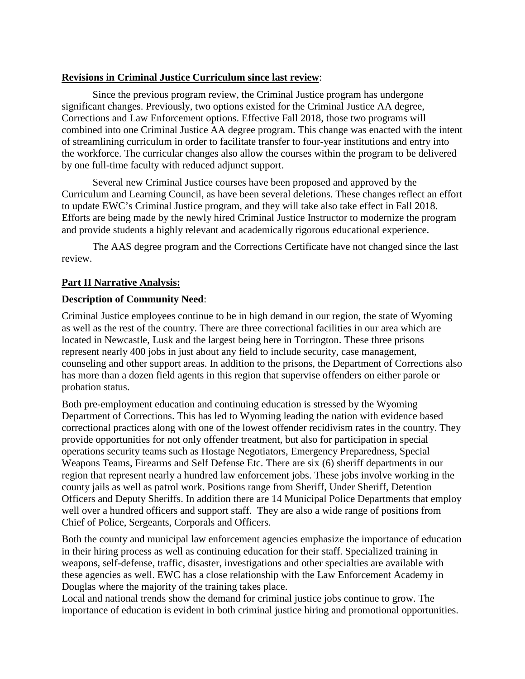#### **Revisions in Criminal Justice Curriculum since last review**:

Since the previous program review, the Criminal Justice program has undergone significant changes. Previously, two options existed for the Criminal Justice AA degree, Corrections and Law Enforcement options. Effective Fall 2018, those two programs will combined into one Criminal Justice AA degree program. This change was enacted with the intent of streamlining curriculum in order to facilitate transfer to four-year institutions and entry into the workforce. The curricular changes also allow the courses within the program to be delivered by one full-time faculty with reduced adjunct support.

Several new Criminal Justice courses have been proposed and approved by the Curriculum and Learning Council, as have been several deletions. These changes reflect an effort to update EWC's Criminal Justice program, and they will take also take effect in Fall 2018. Efforts are being made by the newly hired Criminal Justice Instructor to modernize the program and provide students a highly relevant and academically rigorous educational experience.

The AAS degree program and the Corrections Certificate have not changed since the last review.

#### **Part II Narrative Analysis:**

#### **Description of Community Need**:

Criminal Justice employees continue to be in high demand in our region, the state of Wyoming as well as the rest of the country. There are three correctional facilities in our area which are located in Newcastle, Lusk and the largest being here in Torrington. These three prisons represent nearly 400 jobs in just about any field to include security, case management, counseling and other support areas. In addition to the prisons, the Department of Corrections also has more than a dozen field agents in this region that supervise offenders on either parole or probation status.

Both pre-employment education and continuing education is stressed by the Wyoming Department of Corrections. This has led to Wyoming leading the nation with evidence based correctional practices along with one of the lowest offender recidivism rates in the country. They provide opportunities for not only offender treatment, but also for participation in special operations security teams such as Hostage Negotiators, Emergency Preparedness, Special Weapons Teams, Firearms and Self Defense Etc. There are six (6) sheriff departments in our region that represent nearly a hundred law enforcement jobs. These jobs involve working in the county jails as well as patrol work. Positions range from Sheriff, Under Sheriff, Detention Officers and Deputy Sheriffs. In addition there are 14 Municipal Police Departments that employ well over a hundred officers and support staff. They are also a wide range of positions from Chief of Police, Sergeants, Corporals and Officers.

Both the county and municipal law enforcement agencies emphasize the importance of education in their hiring process as well as continuing education for their staff. Specialized training in weapons, self-defense, traffic, disaster, investigations and other specialties are available with these agencies as well. EWC has a close relationship with the Law Enforcement Academy in Douglas where the majority of the training takes place.

Local and national trends show the demand for criminal justice jobs continue to grow. The importance of education is evident in both criminal justice hiring and promotional opportunities.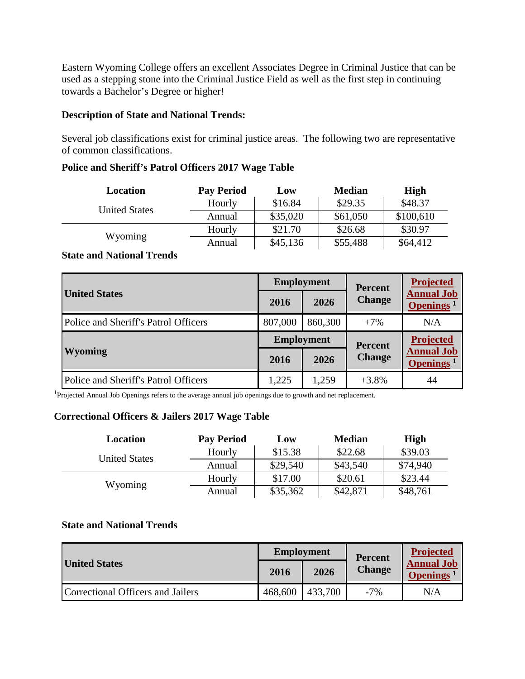Eastern Wyoming College offers an excellent Associates Degree in Criminal Justice that can be used as a stepping stone into the Criminal Justice Field as well as the first step in continuing towards a Bachelor's Degree or higher!

#### **Description of State and National Trends:**

Several job classifications exist for criminal justice areas. The following two are representative of common classifications.

#### **Police and Sheriff's Patrol Officers 2017 Wage Table**

| Location             | <b>Pay Period</b> | Low      | <b>Median</b> | High      |
|----------------------|-------------------|----------|---------------|-----------|
| <b>United States</b> | Hourly            | \$16.84  | \$29.35       | \$48.37   |
|                      | Annual            | \$35,020 | \$61,050      | \$100,610 |
| Wyoming              | Hourly            | \$21.70  | \$26.68       | \$30.97   |
|                      | Annual            | \$45,136 | \$55,488      | \$64,412  |

# **State and National Trends**

| <b>United States</b>                 | <b>Employment</b> |         | <b>Percent</b> | <b>Projected</b>                                  |
|--------------------------------------|-------------------|---------|----------------|---------------------------------------------------|
|                                      | 2016              | 2026    | <b>Change</b>  | <b>Annual Job</b><br>Openings <sup>1</sup>        |
| Police and Sheriff's Patrol Officers | 807,000           | 860,300 | $+7%$          | N/A                                               |
| <b>Wyoming</b>                       | <b>Employment</b> |         | <b>Percent</b> | <b>Projected</b>                                  |
|                                      | 2016              | 2026    | <b>Change</b>  | <b>Annual Job</b><br><b>Openings</b> <sup>1</sup> |
| Police and Sheriff's Patrol Officers | 1,225             | 1,259   | $+3.8%$        | 44                                                |

<sup>1</sup>Projected Annual Job Openings refers to the average annual job openings due to growth and net replacement.

#### **Correctional Officers & Jailers 2017 Wage Table**

| Location             | <b>Pay Period</b> | Low      | <b>Median</b> | High     |
|----------------------|-------------------|----------|---------------|----------|
| <b>United States</b> | Hourly            | \$15.38  | \$22.68       | \$39.03  |
|                      | Annual            | \$29,540 | \$43,540      | \$74,940 |
| Wyoming              | Hourly            | \$17.00  | \$20.61       | \$23.44  |
|                      | Annual            | \$35,362 | \$42,871      | \$48,761 |

# **State and National Trends**

|                                   | <b>Employment</b> |         | <b>Percent</b> | <b>Projected</b>                           |
|-----------------------------------|-------------------|---------|----------------|--------------------------------------------|
| <b>United States</b>              | 2016              | 2026    | <b>Change</b>  | <b>Annual Job</b><br>Openings <sup>1</sup> |
| Correctional Officers and Jailers | 468,600           | 433,700 | $-7%$          | N/A                                        |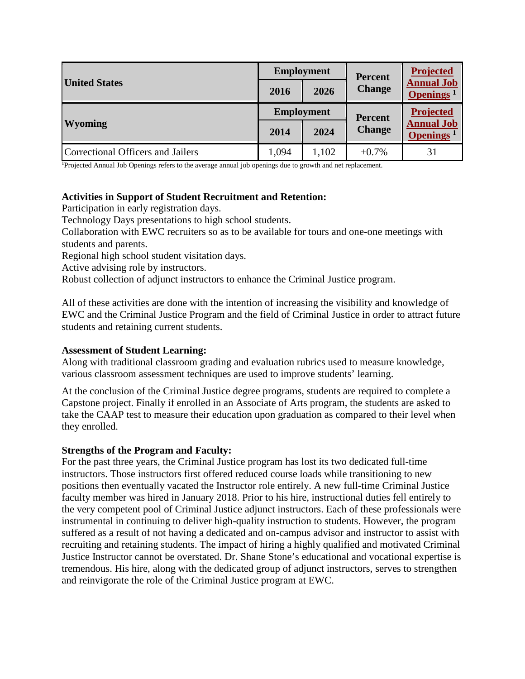| <b>United States</b>              | <b>Employment</b> |       | <b>Percent</b> | Projected                                  |
|-----------------------------------|-------------------|-------|----------------|--------------------------------------------|
|                                   | 2016              | 2026  | <b>Change</b>  | <b>Annual Job</b><br>Openings <sup>1</sup> |
| <b>Wyoming</b>                    | <b>Employment</b> |       | <b>Percent</b> | Projected                                  |
|                                   | 2014              | 2024  | <b>Change</b>  | <b>Annual Job</b><br>Openings <sup>1</sup> |
| Correctional Officers and Jailers | 1,094             | 1,102 | $+0.7\%$       | 31                                         |

1 Projected Annual Job Openings refers to the average annual job openings due to growth and net replacement.

#### **Activities in Support of Student Recruitment and Retention:**

Participation in early registration days.

Technology Days presentations to high school students.

Collaboration with EWC recruiters so as to be available for tours and one-one meetings with students and parents.

Regional high school student visitation days.

Active advising role by instructors.

Robust collection of adjunct instructors to enhance the Criminal Justice program.

All of these activities are done with the intention of increasing the visibility and knowledge of EWC and the Criminal Justice Program and the field of Criminal Justice in order to attract future students and retaining current students.

#### **Assessment of Student Learning:**

Along with traditional classroom grading and evaluation rubrics used to measure knowledge, various classroom assessment techniques are used to improve students' learning.

At the conclusion of the Criminal Justice degree programs, students are required to complete a Capstone project. Finally if enrolled in an Associate of Arts program, the students are asked to take the CAAP test to measure their education upon graduation as compared to their level when they enrolled.

#### **Strengths of the Program and Faculty:**

For the past three years, the Criminal Justice program has lost its two dedicated full-time instructors. Those instructors first offered reduced course loads while transitioning to new positions then eventually vacated the Instructor role entirely. A new full-time Criminal Justice faculty member was hired in January 2018. Prior to his hire, instructional duties fell entirely to the very competent pool of Criminal Justice adjunct instructors. Each of these professionals were instrumental in continuing to deliver high-quality instruction to students. However, the program suffered as a result of not having a dedicated and on-campus advisor and instructor to assist with recruiting and retaining students. The impact of hiring a highly qualified and motivated Criminal Justice Instructor cannot be overstated. Dr. Shane Stone's educational and vocational expertise is tremendous. His hire, along with the dedicated group of adjunct instructors, serves to strengthen and reinvigorate the role of the Criminal Justice program at EWC.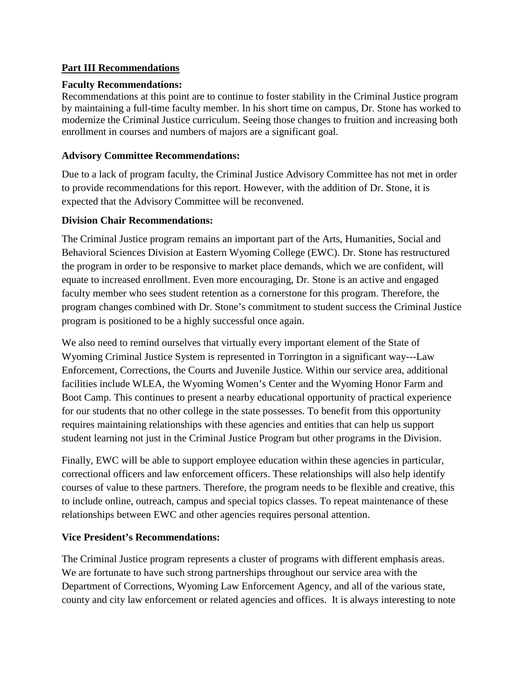# **Part III Recommendations**

#### **Faculty Recommendations:**

Recommendations at this point are to continue to foster stability in the Criminal Justice program by maintaining a full-time faculty member. In his short time on campus, Dr. Stone has worked to modernize the Criminal Justice curriculum. Seeing those changes to fruition and increasing both enrollment in courses and numbers of majors are a significant goal.

#### **Advisory Committee Recommendations:**

Due to a lack of program faculty, the Criminal Justice Advisory Committee has not met in order to provide recommendations for this report. However, with the addition of Dr. Stone, it is expected that the Advisory Committee will be reconvened.

#### **Division Chair Recommendations:**

The Criminal Justice program remains an important part of the Arts, Humanities, Social and Behavioral Sciences Division at Eastern Wyoming College (EWC). Dr. Stone has restructured the program in order to be responsive to market place demands, which we are confident, will equate to increased enrollment. Even more encouraging, Dr. Stone is an active and engaged faculty member who sees student retention as a cornerstone for this program. Therefore, the program changes combined with Dr. Stone's commitment to student success the Criminal Justice program is positioned to be a highly successful once again.

We also need to remind ourselves that virtually every important element of the State of Wyoming Criminal Justice System is represented in Torrington in a significant way---Law Enforcement, Corrections, the Courts and Juvenile Justice. Within our service area, additional facilities include WLEA, the Wyoming Women's Center and the Wyoming Honor Farm and Boot Camp. This continues to present a nearby educational opportunity of practical experience for our students that no other college in the state possesses. To benefit from this opportunity requires maintaining relationships with these agencies and entities that can help us support student learning not just in the Criminal Justice Program but other programs in the Division.

Finally, EWC will be able to support employee education within these agencies in particular, correctional officers and law enforcement officers. These relationships will also help identify courses of value to these partners. Therefore, the program needs to be flexible and creative, this to include online, outreach, campus and special topics classes. To repeat maintenance of these relationships between EWC and other agencies requires personal attention.

# **Vice President's Recommendations:**

The Criminal Justice program represents a cluster of programs with different emphasis areas. We are fortunate to have such strong partnerships throughout our service area with the Department of Corrections, Wyoming Law Enforcement Agency, and all of the various state, county and city law enforcement or related agencies and offices. It is always interesting to note